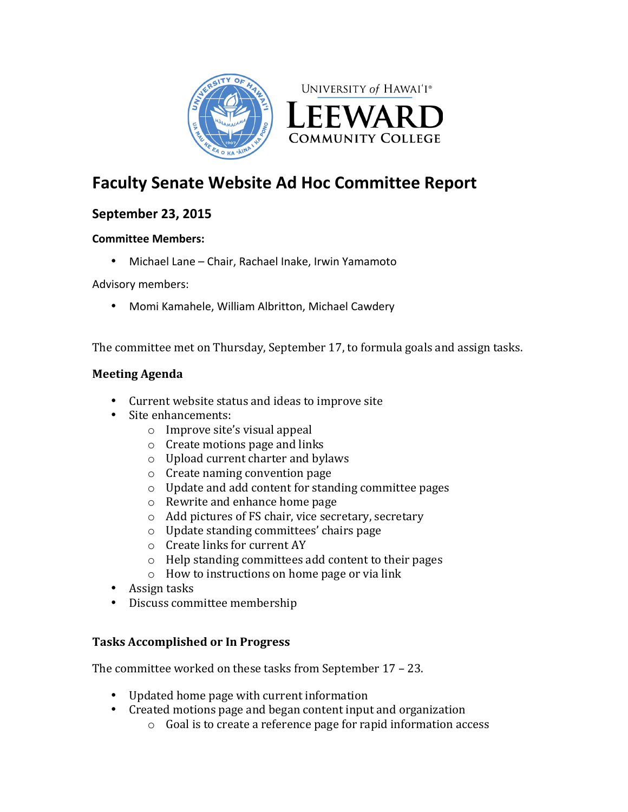

# **Faculty Senate Website Ad Hoc Committee Report**

## **September 23, 2015**

## **Committee Members:**

• Michael Lane - Chair, Rachael Inake, Irwin Yamamoto

Advisory members:

• Momi Kamahele, William Albritton, Michael Cawdery

The committee met on Thursday, September 17, to formula goals and assign tasks.

## **Meeting Agenda**

- Current website status and ideas to improve site
- Site enhancements:
	- $\circ$  Improve site's visual appeal
	- $\circ$  Create motions page and links
	- $\circ$  Upload current charter and bylaws
	- $\circ$  Create naming convention page
	- $\circ$  Update and add content for standing committee pages
	- $\circ$  Rewrite and enhance home page
	- $\circ$  Add pictures of FS chair, vice secretary, secretary
	- $\circ$  Update standing committees' chairs page
	- $\circ$  Create links for current AY
	- $\circ$  Help standing committees add content to their pages
	- $\circ$  How to instructions on home page or via link
- Assign tasks
- Discuss committee membership

## **Tasks Accomplished or In Progress**

The committee worked on these tasks from September  $17 - 23$ .

- Updated home page with current information
- Created motions page and began content input and organization
	- $\circ$  Goal is to create a reference page for rapid information access